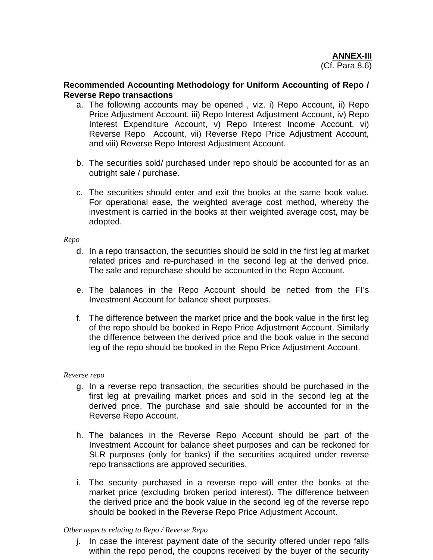## **Recommended Accounting Methodology for Uniform Accounting of Repo / Reverse Repo transactions**

- a. The following accounts may be opened , viz. i) Repo Account, ii) Repo Price Adjustment Account, iii) Repo Interest Adjustment Account, iv) Repo Interest Expenditure Account, v) Repo Interest Income Account, vi) Reverse Repo Account, vii) Reverse Repo Price Adjustment Account, and viii) Reverse Repo Interest Adjustment Account.
- b. The securities sold/ purchased under repo should be accounted for as an outright sale / purchase.
- c. The securities should enter and exit the books at the same book value. For operational ease, the weighted average cost method, whereby the investment is carried in the books at their weighted average cost, may be adopted.

## *Repo*

- d. In a repo transaction, the securities should be sold in the first leg at market related prices and re-purchased in the second leg at the derived price. The sale and repurchase should be accounted in the Repo Account.
- e. The balances in the Repo Account should be netted from the FI's Investment Account for balance sheet purposes.
- f. The difference between the market price and the book value in the first leg of the repo should be booked in Repo Price Adjustment Account. Similarly the difference between the derived price and the book value in the second leg of the repo should be booked in the Repo Price Adjustment Account.

## *Reverse repo*

- g. In a reverse repo transaction, the securities should be purchased in the first leg at prevailing market prices and sold in the second leg at the derived price. The purchase and sale should be accounted for in the Reverse Repo Account.
- h. The balances in the Reverse Repo Account should be part of the Investment Account for balance sheet purposes and can be reckoned for SLR purposes (only for banks) if the securities acquired under reverse repo transactions are approved securities.
- i. The security purchased in a reverse repo will enter the books at the market price (excluding broken period interest). The difference between the derived price and the book value in the second leg of the reverse repo should be booked in the Reverse Repo Price Adjustment Account.

## *Other aspects relating to Repo / Reverse Repo*

j. In case the interest payment date of the security offered under repo falls within the repo period, the coupons received by the buyer of the security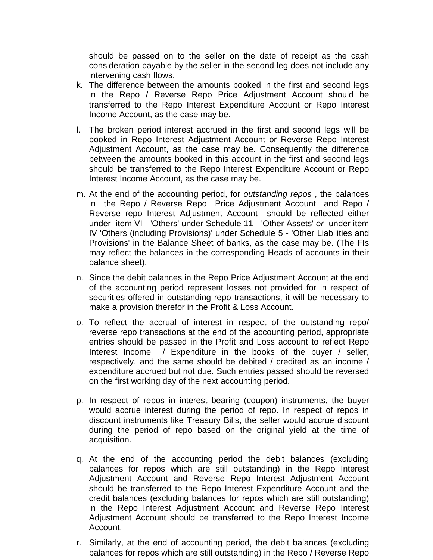should be passed on to the seller on the date of receipt as the cash consideration payable by the seller in the second leg does not include any intervening cash flows.

- k. The difference between the amounts booked in the first and second legs in the Repo / Reverse Repo Price Adjustment Account should be transferred to the Repo Interest Expenditure Account or Repo Interest Income Account, as the case may be.
- l. The broken period interest accrued in the first and second legs will be booked in Repo Interest Adjustment Account or Reverse Repo Interest Adjustment Account, as the case may be. Consequently the difference between the amounts booked in this account in the first and second legs should be transferred to the Repo Interest Expenditure Account or Repo Interest Income Account, as the case may be.
- m. At the end of the accounting period, for *outstanding repos* , the balances in the Repo / Reverse Repo Price Adjustment Account and Repo / Reverse repo Interest Adjustment Account should be reflected either under item VI - 'Others' under Schedule 11 - 'Other Assets' *or* under item IV 'Others (including Provisions)' under Schedule 5 - 'Other Liabilities and Provisions' in the Balance Sheet of banks, as the case may be. (The FIs may reflect the balances in the corresponding Heads of accounts in their balance sheet).
- n. Since the debit balances in the Repo Price Adjustment Account at the end of the accounting period represent losses not provided for in respect of securities offered in outstanding repo transactions, it will be necessary to make a provision therefor in the Profit & Loss Account.
- o. To reflect the accrual of interest in respect of the outstanding repo/ reverse repo transactions at the end of the accounting period, appropriate entries should be passed in the Profit and Loss account to reflect Repo Interest Income / Expenditure in the books of the buyer / seller, respectively, and the same should be debited / credited as an income / expenditure accrued but not due. Such entries passed should be reversed on the first working day of the next accounting period.
- p. In respect of repos in interest bearing (coupon) instruments, the buyer would accrue interest during the period of repo. In respect of repos in discount instruments like Treasury Bills, the seller would accrue discount during the period of repo based on the original yield at the time of acquisition.
- q. At the end of the accounting period the debit balances (excluding balances for repos which are still outstanding) in the Repo Interest Adjustment Account and Reverse Repo Interest Adjustment Account should be transferred to the Repo Interest Expenditure Account and the credit balances (excluding balances for repos which are still outstanding) in the Repo Interest Adjustment Account and Reverse Repo Interest Adjustment Account should be transferred to the Repo Interest Income Account.
- r. Similarly, at the end of accounting period, the debit balances (excluding balances for repos which are still outstanding) in the Repo / Reverse Repo